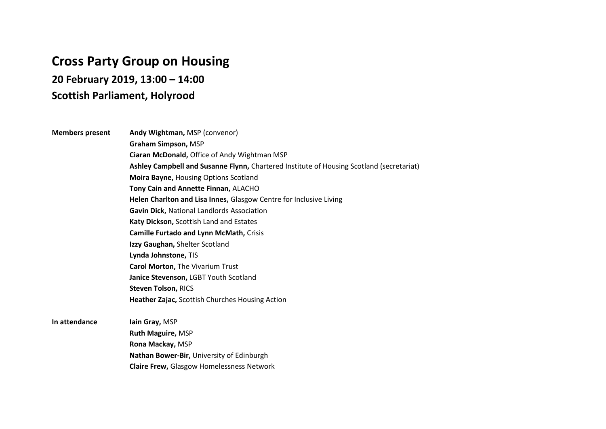## **Cross Party Group on Housing**

**20 February 2019, 13:00 – 14:00** 

## **Scottish Parliament, Holyrood**

## **Members present Andy Wightman, MSP (convenor) Graham Simpson,** MSP **Ciaran McDonald,** Office of Andy Wightman MSP **Ashley Campbell and Susanne Flynn,** Chartered Institute of Housing Scotland (secretariat) **Moira Bayne,** Housing Options Scotland **Tony Cain and Annette Finnan,** ALACHO **Helen Charlton and Lisa Innes,** Glasgow Centre for Inclusive Living **Gavin Dick,** National Landlords Association **Katy Dickson,** Scottish Land and Estates **Camille Furtado and Lynn McMath,** Crisis **Izzy Gaughan,** Shelter Scotland **Lynda Johnstone,** TIS **Carol Morton,** The Vivarium Trust **Janice Stevenson,** LGBT Youth Scotland **Steven Tolson,** RICS **Heather Zajac,** Scottish Churches Housing Action **In attendance Iain Gray, MSP Ruth Maguire,** MSP **Rona Mackay,** MSP

**Nathan Bower-Bir,** University of Edinburgh **Claire Frew,** Glasgow Homelessness Network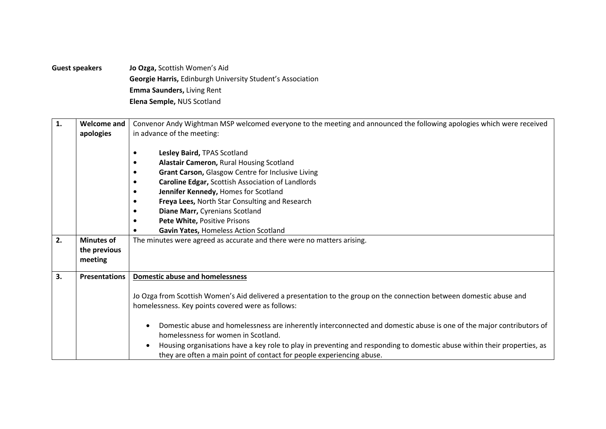**Guest speakers Jo Ozga,** Scottish Women's Aid **Georgie Harris,** Edinburgh University Student's Association **Emma Saunders,** Living Rent **Elena Semple,** NUS Scotland

| 1. | <b>Welcome and</b>   | Convenor Andy Wightman MSP welcomed everyone to the meeting and announced the following apologies which were received    |
|----|----------------------|--------------------------------------------------------------------------------------------------------------------------|
|    | apologies            | in advance of the meeting:                                                                                               |
|    |                      |                                                                                                                          |
|    |                      | Lesley Baird, TPAS Scotland                                                                                              |
|    |                      | Alastair Cameron, Rural Housing Scotland                                                                                 |
|    |                      | Grant Carson, Glasgow Centre for Inclusive Living                                                                        |
|    |                      | Caroline Edgar, Scottish Association of Landlords                                                                        |
|    |                      | Jennifer Kennedy, Homes for Scotland                                                                                     |
|    |                      | Freya Lees, North Star Consulting and Research                                                                           |
|    |                      | Diane Marr, Cyrenians Scotland                                                                                           |
|    |                      | Pete White, Positive Prisons                                                                                             |
|    |                      | Gavin Yates, Homeless Action Scotland                                                                                    |
| 2. | <b>Minutes of</b>    | The minutes were agreed as accurate and there were no matters arising.                                                   |
|    | the previous         |                                                                                                                          |
|    | meeting              |                                                                                                                          |
|    |                      |                                                                                                                          |
| 3. | <b>Presentations</b> | <b>Domestic abuse and homelessness</b>                                                                                   |
|    |                      |                                                                                                                          |
|    |                      | Jo Ozga from Scottish Women's Aid delivered a presentation to the group on the connection between domestic abuse and     |
|    |                      | homelessness. Key points covered were as follows:                                                                        |
|    |                      |                                                                                                                          |
|    |                      | Domestic abuse and homelessness are inherently interconnected and domestic abuse is one of the major contributors of     |
|    |                      | homelessness for women in Scotland.                                                                                      |
|    |                      | Housing organisations have a key role to play in preventing and responding to domestic abuse within their properties, as |
|    |                      | they are often a main point of contact for people experiencing abuse.                                                    |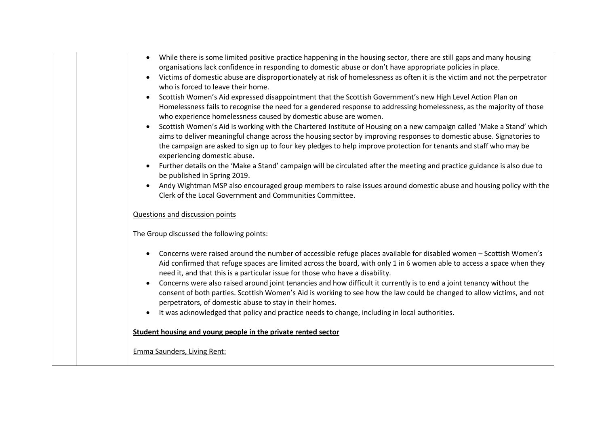|  | While there is some limited positive practice happening in the housing sector, there are still gaps and many housing<br>$\bullet$                                                                                                                                                                                             |
|--|-------------------------------------------------------------------------------------------------------------------------------------------------------------------------------------------------------------------------------------------------------------------------------------------------------------------------------|
|  | organisations lack confidence in responding to domestic abuse or don't have appropriate policies in place.                                                                                                                                                                                                                    |
|  | Victims of domestic abuse are disproportionately at risk of homelessness as often it is the victim and not the perpetrator<br>who is forced to leave their home.                                                                                                                                                              |
|  | Scottish Women's Aid expressed disappointment that the Scottish Government's new High Level Action Plan on                                                                                                                                                                                                                    |
|  | Homelessness fails to recognise the need for a gendered response to addressing homelessness, as the majority of those<br>who experience homelessness caused by domestic abuse are women.                                                                                                                                      |
|  | Scottish Women's Aid is working with the Chartered Institute of Housing on a new campaign called 'Make a Stand' which<br>$\bullet$                                                                                                                                                                                            |
|  | aims to deliver meaningful change across the housing sector by improving responses to domestic abuse. Signatories to                                                                                                                                                                                                          |
|  | the campaign are asked to sign up to four key pledges to help improve protection for tenants and staff who may be<br>experiencing domestic abuse.                                                                                                                                                                             |
|  | Further details on the 'Make a Stand' campaign will be circulated after the meeting and practice guidance is also due to<br>be published in Spring 2019.                                                                                                                                                                      |
|  | Andy Wightman MSP also encouraged group members to raise issues around domestic abuse and housing policy with the<br>$\bullet$                                                                                                                                                                                                |
|  | Clerk of the Local Government and Communities Committee.                                                                                                                                                                                                                                                                      |
|  |                                                                                                                                                                                                                                                                                                                               |
|  | Questions and discussion points                                                                                                                                                                                                                                                                                               |
|  | The Group discussed the following points:                                                                                                                                                                                                                                                                                     |
|  | Concerns were raised around the number of accessible refuge places available for disabled women - Scottish Women's<br>Aid confirmed that refuge spaces are limited across the board, with only 1 in 6 women able to access a space when they<br>need it, and that this is a particular issue for those who have a disability. |
|  | Concerns were also raised around joint tenancies and how difficult it currently is to end a joint tenancy without the<br>consent of both parties. Scottish Women's Aid is working to see how the law could be changed to allow victims, and not<br>perpetrators, of domestic abuse to stay in their homes.                    |
|  | It was acknowledged that policy and practice needs to change, including in local authorities.                                                                                                                                                                                                                                 |
|  |                                                                                                                                                                                                                                                                                                                               |
|  | Student housing and young people in the private rented sector                                                                                                                                                                                                                                                                 |
|  |                                                                                                                                                                                                                                                                                                                               |
|  | <b>Emma Saunders, Living Rent:</b>                                                                                                                                                                                                                                                                                            |
|  |                                                                                                                                                                                                                                                                                                                               |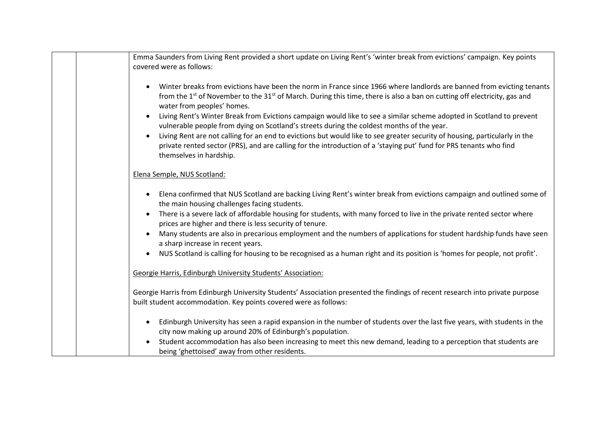| Emma Saunders from Living Rent provided a short update on Living Rent's 'winter break from evictions' campaign. Key points<br>covered were as follows:                                                                                                                                                                                                                                                                                                                                                                                                                                                                                                                                                                                                                           |
|----------------------------------------------------------------------------------------------------------------------------------------------------------------------------------------------------------------------------------------------------------------------------------------------------------------------------------------------------------------------------------------------------------------------------------------------------------------------------------------------------------------------------------------------------------------------------------------------------------------------------------------------------------------------------------------------------------------------------------------------------------------------------------|
| Winter breaks from evictions have been the norm in France since 1966 where landlords are banned from evicting tenants<br>from the 1 <sup>st</sup> of November to the 31 <sup>st</sup> of March. During this time, there is also a ban on cutting off electricity, gas and<br>water from peoples' homes.<br>Living Rent's Winter Break from Evictions campaign would like to see a similar scheme adopted in Scotland to prevent<br>vulnerable people from dying on Scotland's streets during the coldest months of the year.<br>Living Rent are not calling for an end to evictions but would like to see greater security of housing, particularly in the<br>private rented sector (PRS), and are calling for the introduction of a 'staying put' fund for PRS tenants who find |
| themselves in hardship.                                                                                                                                                                                                                                                                                                                                                                                                                                                                                                                                                                                                                                                                                                                                                          |
| Elena Semple, NUS Scotland:                                                                                                                                                                                                                                                                                                                                                                                                                                                                                                                                                                                                                                                                                                                                                      |
| Elena confirmed that NUS Scotland are backing Living Rent's winter break from evictions campaign and outlined some of<br>$\bullet$<br>the main housing challenges facing students.<br>There is a severe lack of affordable housing for students, with many forced to live in the private rented sector where                                                                                                                                                                                                                                                                                                                                                                                                                                                                     |
| prices are higher and there is less security of tenure.<br>Many students are also in precarious employment and the numbers of applications for student hardship funds have seen<br>a sharp increase in recent years.                                                                                                                                                                                                                                                                                                                                                                                                                                                                                                                                                             |
| NUS Scotland is calling for housing to be recognised as a human right and its position is 'homes for people, not profit'.                                                                                                                                                                                                                                                                                                                                                                                                                                                                                                                                                                                                                                                        |
| Georgie Harris, Edinburgh University Students' Association:                                                                                                                                                                                                                                                                                                                                                                                                                                                                                                                                                                                                                                                                                                                      |
| Georgie Harris from Edinburgh University Students' Association presented the findings of recent research into private purpose<br>built student accommodation. Key points covered were as follows:                                                                                                                                                                                                                                                                                                                                                                                                                                                                                                                                                                                |
| Edinburgh University has seen a rapid expansion in the number of students over the last five years, with students in the<br>city now making up around 20% of Edinburgh's population.                                                                                                                                                                                                                                                                                                                                                                                                                                                                                                                                                                                             |
| Student accommodation has also been increasing to meet this new demand, leading to a perception that students are<br>being 'ghettoised' away from other residents.                                                                                                                                                                                                                                                                                                                                                                                                                                                                                                                                                                                                               |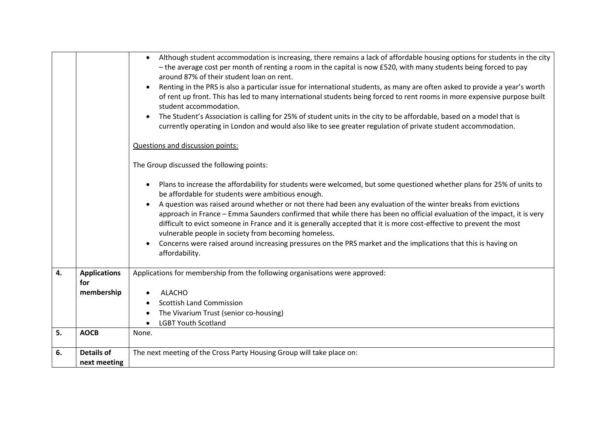|    |                            | Although student accommodation is increasing, there remains a lack of affordable housing options for students in the city<br>$\bullet$<br>- the average cost per month of renting a room in the capital is now £520, with many students being forced to pay<br>around 87% of their student loan on rent.<br>Renting in the PRS is also a particular issue for international students, as many are often asked to provide a year's worth<br>$\bullet$<br>of rent up front. This has led to many international students being forced to rent rooms in more expensive purpose built<br>student accommodation.<br>The Student's Association is calling for 25% of student units in the city to be affordable, based on a model that is<br>currently operating in London and would also like to see greater regulation of private student accommodation.<br>Questions and discussion points:<br>The Group discussed the following points:<br>Plans to increase the affordability for students were welcomed, but some questioned whether plans for 25% of units to<br>be affordable for students were ambitious enough.<br>A question was raised around whether or not there had been any evaluation of the winter breaks from evictions<br>approach in France - Emma Saunders confirmed that while there has been no official evaluation of the impact, it is very<br>difficult to evict someone in France and it is generally accepted that it is more cost-effective to prevent the most<br>vulnerable people in society from becoming homeless.<br>Concerns were raised around increasing pressures on the PRS market and the implications that this is having on<br>affordability. |
|----|----------------------------|------------------------------------------------------------------------------------------------------------------------------------------------------------------------------------------------------------------------------------------------------------------------------------------------------------------------------------------------------------------------------------------------------------------------------------------------------------------------------------------------------------------------------------------------------------------------------------------------------------------------------------------------------------------------------------------------------------------------------------------------------------------------------------------------------------------------------------------------------------------------------------------------------------------------------------------------------------------------------------------------------------------------------------------------------------------------------------------------------------------------------------------------------------------------------------------------------------------------------------------------------------------------------------------------------------------------------------------------------------------------------------------------------------------------------------------------------------------------------------------------------------------------------------------------------------------------------------------------------------------------------------------------------------------------------------|
| 4. | <b>Applications</b><br>for | Applications for membership from the following organisations were approved:                                                                                                                                                                                                                                                                                                                                                                                                                                                                                                                                                                                                                                                                                                                                                                                                                                                                                                                                                                                                                                                                                                                                                                                                                                                                                                                                                                                                                                                                                                                                                                                                        |
|    | membership                 | <b>ALACHO</b>                                                                                                                                                                                                                                                                                                                                                                                                                                                                                                                                                                                                                                                                                                                                                                                                                                                                                                                                                                                                                                                                                                                                                                                                                                                                                                                                                                                                                                                                                                                                                                                                                                                                      |
|    |                            | <b>Scottish Land Commission</b>                                                                                                                                                                                                                                                                                                                                                                                                                                                                                                                                                                                                                                                                                                                                                                                                                                                                                                                                                                                                                                                                                                                                                                                                                                                                                                                                                                                                                                                                                                                                                                                                                                                    |
|    |                            | The Vivarium Trust (senior co-housing)                                                                                                                                                                                                                                                                                                                                                                                                                                                                                                                                                                                                                                                                                                                                                                                                                                                                                                                                                                                                                                                                                                                                                                                                                                                                                                                                                                                                                                                                                                                                                                                                                                             |
|    |                            | <b>LGBT Youth Scotland</b>                                                                                                                                                                                                                                                                                                                                                                                                                                                                                                                                                                                                                                                                                                                                                                                                                                                                                                                                                                                                                                                                                                                                                                                                                                                                                                                                                                                                                                                                                                                                                                                                                                                         |
| 5. | <b>AOCB</b>                | None.                                                                                                                                                                                                                                                                                                                                                                                                                                                                                                                                                                                                                                                                                                                                                                                                                                                                                                                                                                                                                                                                                                                                                                                                                                                                                                                                                                                                                                                                                                                                                                                                                                                                              |
| 6. | <b>Details of</b>          | The next meeting of the Cross Party Housing Group will take place on:                                                                                                                                                                                                                                                                                                                                                                                                                                                                                                                                                                                                                                                                                                                                                                                                                                                                                                                                                                                                                                                                                                                                                                                                                                                                                                                                                                                                                                                                                                                                                                                                              |
|    | next meeting               |                                                                                                                                                                                                                                                                                                                                                                                                                                                                                                                                                                                                                                                                                                                                                                                                                                                                                                                                                                                                                                                                                                                                                                                                                                                                                                                                                                                                                                                                                                                                                                                                                                                                                    |